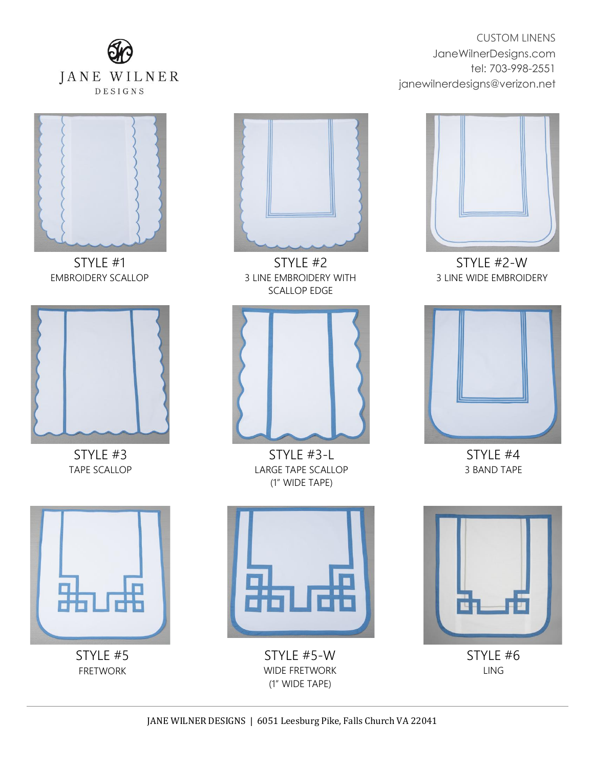



YOUR IMAGE IN A SAN TIMAGE STYLE #1 EMBROIDERY SCALLOP



TAPE SCALLOP STYLE #3



SCALLOP EDGE STYLE #2 3 LINE EMBROIDERY WITH



TAPE SCALLOP TAPE SCALLOP STYLE #3-L (1" WIDE TAPE)



CUSTOM LINENS

tel: 703-998-2551

JaneWilnerDesigns.com

janewilnerdesigns@verizon.net

STYLE #2-W 3 LINE WIDE EMBROIDERY



STYLE #4 3 BAND TAPE



*Y I I I L I I I V DINK* STYLE #5



FRETWORK WIDE FRETWORK STYLE #5-W (1" WIDE TAPE)



STYLE #6 LING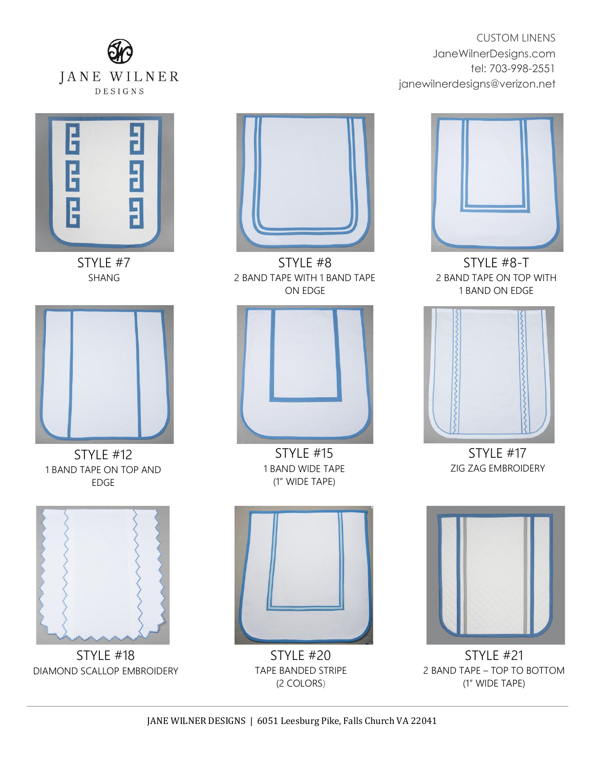



YOUR IMAGE STYLE #7 SHANG



EDGE STYLE #12 1 BAND TAPE ON TOP AND



DIAMOND SCALLOP EMBROIDERY STYLE #18



ON EDGE STYLE #8 2 BAND TAPE WITH 1 BAND TAPE



1 BAND WIDE TAPE STYLE #15 (1" WIDE TAPE)



 $(2 \text{ COLORS})$ STYLE #20 TAPE BANDED STRIPE

CUSTOM LINENS JaneWilnerDesigns.com tel: 703-998-2551 janewilnerdesigns@verizon.net



STYLE #8-T 2 BAND TAPE ON TOP WITH 1 BAND ON EDGE



STYLE #17 ZIG ZAG EMBROIDERY



THE TIGHT IS STYLE #21 2 BAND TAPE – TOP TO BOTTOM